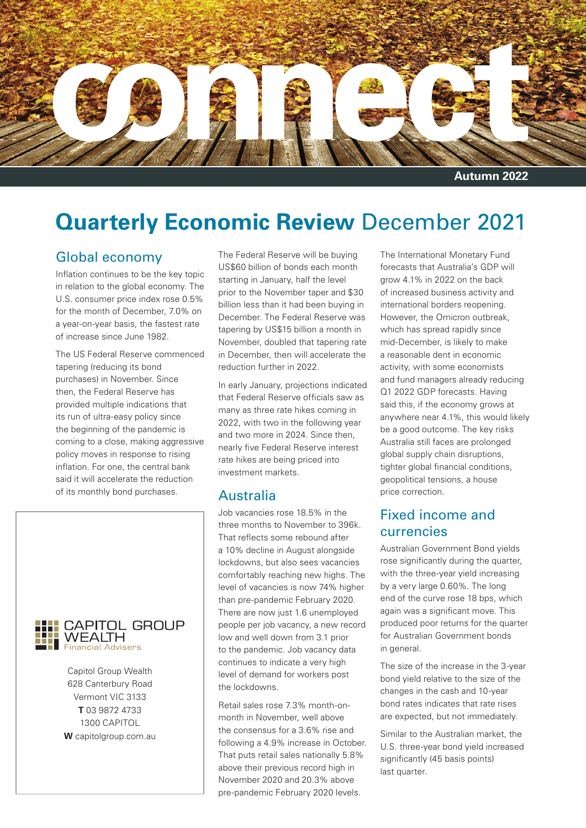

## **Quarterly Economic Review December 2021**

#### Global economy

Inflation continues to be the key topic in relation to the global economy. The U.S. consumer price index rose 0.5% for the month of December, 7.0% on a year-on-year basis, the fastest rate of increase since June 1982.

The US Federal Reserve commenced tapering (reducing its bond purchases) in November. Since then, the Federal Reserve has provided multiple indications that its run of ultra-easy policy since the beginning of the pandemic is coming to a close, making aggressive policy moves in response to rising inflation. For one, the central bank said it will accelerate the reduction of its monthly bond purchases.



Capitol Group Wealth Vermont VIC 3133 1300 CAPITOL<br>**W** capitolgroup.com.au 628 Canterbury Road **T** 03 9872 4733 1300 CAPITOL

The Federal Reserve will be buying US\$60 billion of bonds each month starting in January, half the level prior to the November taper and \$30 billion less than it had been buying in December. The Federal Reserve was tapering by US\$15 billion a month in November, doubled that tapering rate in December, then will accelerate the reduction further in 2022.

In early January, projections indicated that Federal Reserve officials saw as many as three rate hikes coming in 2022, with two in the following year and two more in 2024. Since then, nearly five Federal Reserve interest rate hikes are being priced into investment markets.

#### Australia

Job vacancies rose 18.5% in the three months to November to 396k. That reflects some rebound after a 10% decline in August alongside lockdowns, but also sees vacancies comfortably reaching new highs. The level of vacancies is now 74% higher than pre-pandemic February 2020. There are now just 1.6 unemployed people per job vacancy, a new record low and well down from 3.1 prior to the pandemic. Job vacancy data continues to indicate a very high level of demand for workers post the lockdowns.

Retail sales rose 7.3% month-onmonth in November, well above the consensus for a 3.6% rise and following a 4.9% increase in October. That puts retail sales nationally 5.8% above their previous record high in November 2020 and 20.3% above pre-pandemic February 2020 levels.

The International Monetary Fund forecasts that Australia's GDP will grow 4.1% in 2022 on the back of increased business activity and international borders reopening. However, the Omicron outbreak, which has spread rapidly since mid-December, is likely to make a reasonable dent in economic activity, with some economists and fund managers already reducing Q1 2022 GDP forecasts. Having said this, if the economy grows at anywhere near 4.1%, this would likely be a good outcome. The key risks Australia still faces are prolonged global supply chain disruptions, tighter global financial conditions. geopolitical tensions, a house price correction.

#### Fixed income and currencies

Australian Government Bond yields rose significantly during the quarter, with the three-year yield increasing by a very large 0.60%. The long end of the curve rose 18 bps, which again was a significant move. This produced poor returns for the quarter for Australian Government bonds in general.

The size of the increase in the 3-year bond yield relative to the size of the changes in the cash and 10-year bond rates indicates that rate rises are expected, but not immediately.

Similar to the Australian market, the U.S. three-year bond yield increased significantly (45 basis points) last quarter.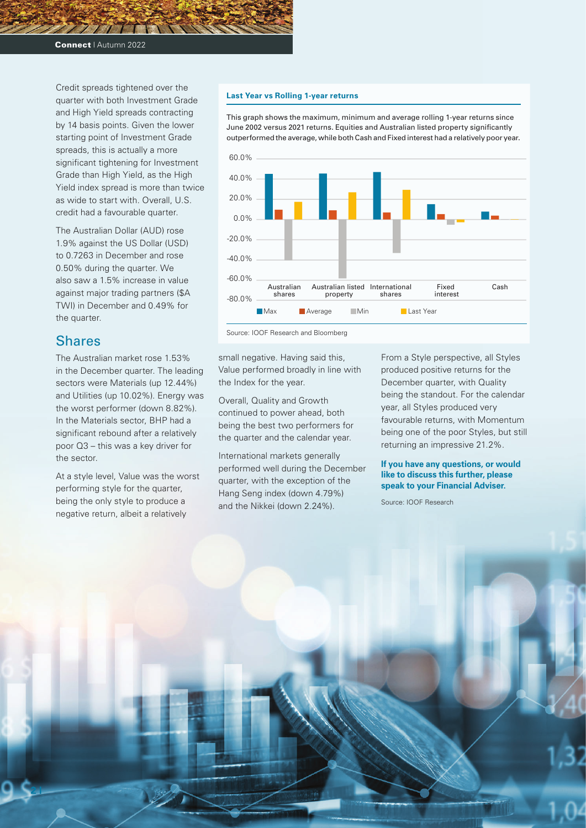Credit spreads tightened over the quarter with both Investment Grade and High Yield spreads contracting by 14 basis points. Given the lower starting point of Investment Grade spreads, this is actually a more significant tightening for Investment Grade than High Yield, as the High Yield index spread is more than twice as wide to start with. Overall, U.S. credit had a favourable quarter.

The Australian Dollar (AUD) rose 1.9% against the US Dollar (USD) to 0.7263 in December and rose 0.50% during the quarter. We also saw a 1.5% increase in value against major trading partners (\$A TWI) in December and 0.49% for the quarter.

#### **Shares**

**2 |**

The Australian market rose 1.53% in the December quarter. The leading sectors were Materials (up 12.44%) and Utilities (up 10.02%). Energy was the worst performer (down 8.82%). In the Materials sector, BHP had a significant rebound after a relatively poor Q3 – this was a key driver for the sector.

At a style level, Value was the worst performing style for the quarter, being the only style to produce a negative return, albeit a relatively

#### **Last Year vs Rolling 1-year returns**

This graph shows the maximum, minimum and average rolling 1-year returns since June 2002 versus 2021 returns. Equities and Australian listed property significantly outperformed the average, while both Cash and Fixed interest had a relatively poor year.



Source: IOOF Research and Bloomberg

small negative. Having said this, Value performed broadly in line with the Index for the year.

Overall, Quality and Growth continued to power ahead, both being the best two performers for the quarter and the calendar year.

International markets generally performed well during the December quarter, with the exception of the Hang Seng index (down 4.79%) and the Nikkei (down 2.24%).

From a Style perspective, all Styles produced positive returns for the December quarter, with Quality being the standout. For the calendar year, all Styles produced very favourable returns, with Momentum being one of the poor Styles, but still returning an impressive 21.2%.

#### **If you have any questions, or would like to discuss this further, please speak to your Financial Adviser.**

Source: IOOF Research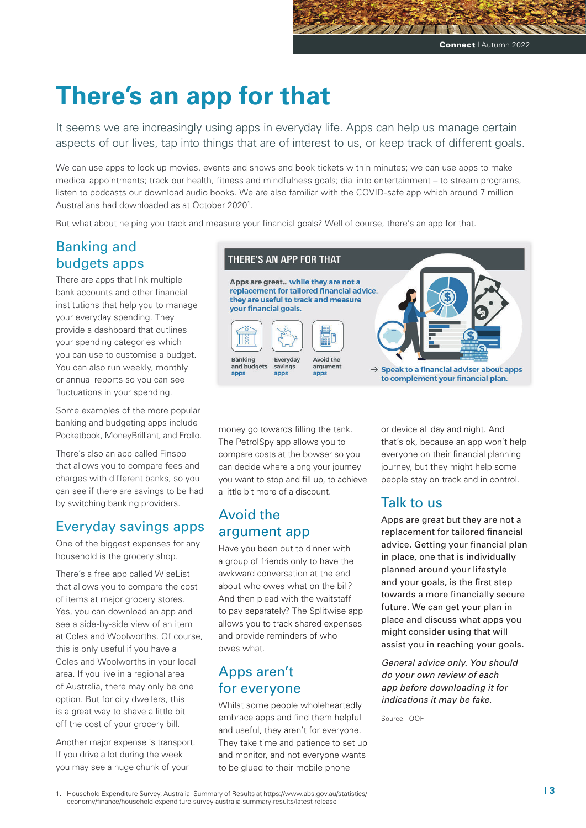## **There's an app for that**

It seems we are increasingly using apps in everyday life. Apps can help us manage certain aspects of our lives, tap into things that are of interest to us, or keep track of different goals.

We can use apps to look up movies, events and shows and book tickets within minutes; we can use apps to make medical appointments; track our health, fitness and mindfulness goals; dial into entertainment – to stream programs, listen to podcasts our download audio books. We are also familiar with the COVID-safe app which around 7 million Australians had downloaded as at October 20201.

But what about helping you track and measure your financial goals? Well of course, there's an app for that.

## Banking and budgets apps

There are apps that link multiple bank accounts and other financial institutions that help you to manage your everyday spending. They provide a dashboard that outlines your spending categories which you can use to customise a budget. You can also run weekly, monthly or annual reports so you can see fluctuations in your spending.

Some examples of the more popular banking and budgeting apps include Pocketbook, MoneyBrilliant, and Frollo.

There's also an app called Finspo that allows you to compare fees and charges with different banks, so you can see if there are savings to be had by switching banking providers.

#### Everyday savings apps

One of the biggest expenses for any household is the grocery shop.

There's a free app called WiseList that allows you to compare the cost of items at major grocery stores. Yes, you can download an app and see a side-by-side view of an item at Coles and Woolworths. Of course, this is only useful if you have a Coles and Woolworths in your local area. If you live in a regional area of Australia, there may only be one option. But for city dwellers, this is a great way to shave a little bit off the cost of your grocery bill.

Another major expense is transport. If you drive a lot during the week you may see a huge chunk of your

#### **THERE'S AN APP FOR THAT**

Apps are great... while they are not a replacement for tailored financial advice. they are useful to track and measure your financial goals.



 $\rightarrow$  Speak to a financial adviser about apps

to complement your financial plan.

money go towards filling the tank. The PetrolSpy app allows you to compare costs at the bowser so you can decide where along your journey you want to stop and fill up, to achieve a little bit more of a discount.

## Avoid the argument app

Have you been out to dinner with a group of friends only to have the awkward conversation at the end about who owes what on the bill? And then plead with the waitstaff to pay separately? The Splitwise app allows you to track shared expenses and provide reminders of who owes what.

#### Apps aren't for everyone

Whilst some people wholeheartedly embrace apps and find them helpful and useful, they aren't for everyone. They take time and patience to set up and monitor, and not everyone wants to be glued to their mobile phone

or device all day and night. And that's ok, because an app won't help everyone on their financial planning journey, but they might help some people stay on track and in control.

#### Talk to us

Apps are great but they are not a replacement for tailored financial advice. Getting your financial plan in place, one that is individually planned around your lifestyle and your goals, is the first step towards a more financially secure future. We can get your plan in place and discuss what apps you might consider using that will assist you in reaching your goals.

*General advice only. You should do your own review of each app before downloading it for indications it may be fake.*

Source: IOOF